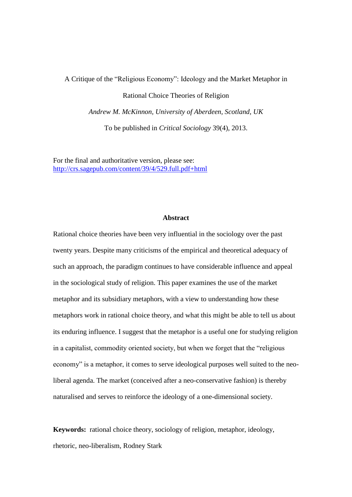A Critique of the "Religious Economy": Ideology and the Market Metaphor in

Rational Choice Theories of Religion

*Andrew M. McKinnon, University of Aberdeen, Scotland, UK* To be published in *Critical Sociology* 39(4), 2013.

For the final and authoritative version, please see: <http://crs.sagepub.com/content/39/4/529.full.pdf+html>

# **Abstract**

Rational choice theories have been very influential in the sociology over the past twenty years. Despite many criticisms of the empirical and theoretical adequacy of such an approach, the paradigm continues to have considerable influence and appeal in the sociological study of religion. This paper examines the use of the market metaphor and its subsidiary metaphors, with a view to understanding how these metaphors work in rational choice theory, and what this might be able to tell us about its enduring influence. I suggest that the metaphor is a useful one for studying religion in a capitalist, commodity oriented society, but when we forget that the "religious economy" is a metaphor, it comes to serve ideological purposes well suited to the neoliberal agenda. The market (conceived after a neo-conservative fashion) is thereby naturalised and serves to reinforce the ideology of a one-dimensional society.

**Keywords:** rational choice theory, sociology of religion, metaphor, ideology, rhetoric, neo-liberalism, Rodney Stark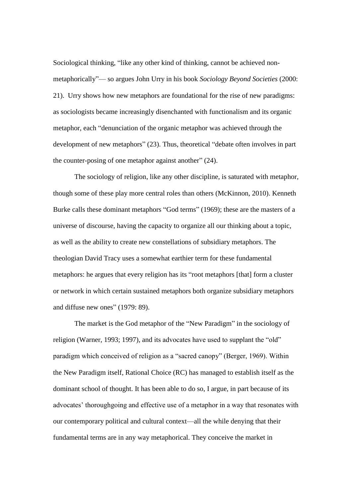Sociological thinking, "like any other kind of thinking, cannot be achieved nonmetaphorically"— so argues John Urry in his book *Sociology Beyond Societies* (2000: 21). Urry shows how new metaphors are foundational for the rise of new paradigms: as sociologists became increasingly disenchanted with functionalism and its organic metaphor, each "denunciation of the organic metaphor was achieved through the development of new metaphors" (23). Thus, theoretical "debate often involves in part the counter-posing of one metaphor against another" (24).

The sociology of religion, like any other discipline, is saturated with metaphor, though some of these play more central roles than others (McKinnon, 2010). Kenneth Burke calls these dominant metaphors "God terms" (1969); these are the masters of a universe of discourse, having the capacity to organize all our thinking about a topic, as well as the ability to create new constellations of subsidiary metaphors. The theologian David Tracy uses a somewhat earthier term for these fundamental metaphors: he argues that every religion has its "root metaphors [that] form a cluster or network in which certain sustained metaphors both organize subsidiary metaphors and diffuse new ones" (1979: 89).

The market is the God metaphor of the "New Paradigm" in the sociology of religion (Warner, 1993; 1997), and its advocates have used to supplant the "old" paradigm which conceived of religion as a "sacred canopy" (Berger, 1969). Within the New Paradigm itself, Rational Choice (RC) has managed to establish itself as the dominant school of thought. It has been able to do so, I argue, in part because of its advocates' thoroughgoing and effective use of a metaphor in a way that resonates with our contemporary political and cultural context—all the while denying that their fundamental terms are in any way metaphorical. They conceive the market in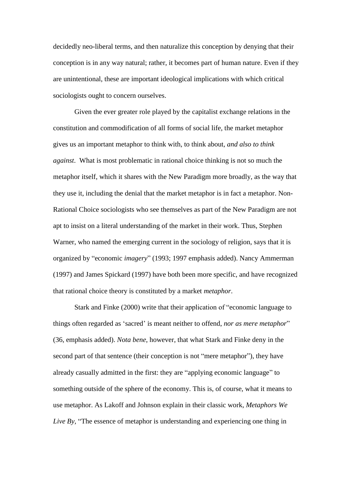decidedly neo-liberal terms, and then naturalize this conception by denying that their conception is in any way natural; rather, it becomes part of human nature. Even if they are unintentional, these are important ideological implications with which critical sociologists ought to concern ourselves.

Given the ever greater role played by the capitalist exchange relations in the constitution and commodification of all forms of social life, the market metaphor gives us an important metaphor to think with, to think about, *and also to think against*. What is most problematic in rational choice thinking is not so much the metaphor itself, which it shares with the New Paradigm more broadly, as the way that they use it, including the denial that the market metaphor is in fact a metaphor. Non-Rational Choice sociologists who see themselves as part of the New Paradigm are not apt to insist on a literal understanding of the market in their work. Thus, Stephen Warner, who named the emerging current in the sociology of religion, says that it is organized by "economic *imagery*" (1993; 1997 emphasis added). Nancy Ammerman (1997) and James Spickard (1997) have both been more specific, and have recognized that rational choice theory is constituted by a market *metaphor*.

Stark and Finke (2000) write that their application of "economic language to things often regarded as 'sacred' is meant neither to offend, *nor as mere metaphor*" (36, emphasis added). *Nota bene*, however, that what Stark and Finke deny in the second part of that sentence (their conception is not "mere metaphor"), they have already casually admitted in the first: they are "applying economic language" to something outside of the sphere of the economy. This is, of course, what it means to use metaphor. As Lakoff and Johnson explain in their classic work, *Metaphors We Live By,* "The essence of metaphor is understanding and experiencing one thing in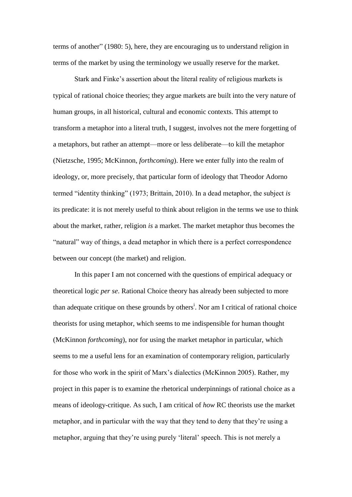terms of another" (1980: 5), here, they are encouraging us to understand religion in terms of the market by using the terminology we usually reserve for the market.

Stark and Finke's assertion about the literal reality of religious markets is typical of rational choice theories; they argue markets are built into the very nature of human groups, in all historical, cultural and economic contexts. This attempt to transform a metaphor into a literal truth, I suggest, involves not the mere forgetting of a metaphors, but rather an attempt—more or less deliberate—to kill the metaphor (Nietzsche, 1995; McKinnon, *forthcoming*). Here we enter fully into the realm of ideology, or, more precisely, that particular form of ideology that Theodor Adorno termed "identity thinking" (1973; Brittain, 2010). In a dead metaphor, the subject *is* its predicate: it is not merely useful to think about religion in the terms we use to think about the market, rather, religion *is* a market. The market metaphor thus becomes the "natural" way of things, a dead metaphor in which there is a perfect correspondence between our concept (the market) and religion.

In this paper I am not concerned with the questions of empirical adequacy or theoretical logic *per se*. Rational Choice theory has already been subjected to more than adequate critique on these grounds by others<sup>i</sup>. Nor am I critical of rational choice theorists for using metaphor, which seems to me indispensible for human thought (McKinnon *forthcoming*), nor for using the market metaphor in particular, which seems to me a useful lens for an examination of contemporary religion, particularly for those who work in the spirit of Marx's dialectics (McKinnon 2005). Rather, my project in this paper is to examine the rhetorical underpinnings of rational choice as a means of ideology-critique. As such, I am critical of *how* RC theorists use the market metaphor, and in particular with the way that they tend to deny that they're using a metaphor, arguing that they're using purely 'literal' speech. This is not merely a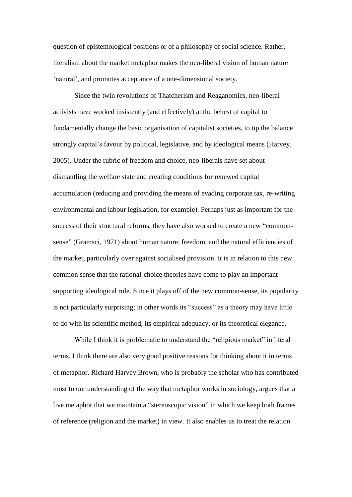question of epistemological positions or of a philosophy of social science. Rather, literalism about the market metaphor makes the neo-liberal vision of human nature 'natural', and promotes acceptance of a one-dimensional society.

Since the twin revolutions of Thatcherism and Reaganomics, neo-liberal activists have worked insistently (and effectively) at the behest of capital to fundamentally change the basic organisation of capitalist societies, to tip the balance strongly capital's favour by political, legislative, and by ideological means (Harvey, 2005). Under the rubric of freedom and choice, neo-liberals have set about dismantling the welfare state and creating conditions for renewed capital accumulation (reducing and providing the means of evading corporate tax, re-writing environmental and labour legislation, for example). Perhaps just as important for the success of their structural reforms, they have also worked to create a new "commonsense" (Gramsci, 1971) about human nature, freedom, and the natural efficiencies of the market, particularly over against socialised provision. It is in relation to this new common sense that the rational-choice theories have come to play an important supporting ideological role. Since it plays off of the new common-sense, its popularity is not particularly surprising; in other words its "success" as a theory may have little to do with its scientific method, its empirical adequacy, or its theoretical elegance.

While I think it is problematic to understand the "religious market" in literal terms, I think there are also very good positive reasons for thinking about it in terms of metaphor. Richard Harvey Brown, who is probably the scholar who has contributed most to our understanding of the way that metaphor works in sociology, argues that a live metaphor that we maintain a "stereoscopic vision" in which we keep both frames of reference (religion and the market) in view. It also enables us to treat the relation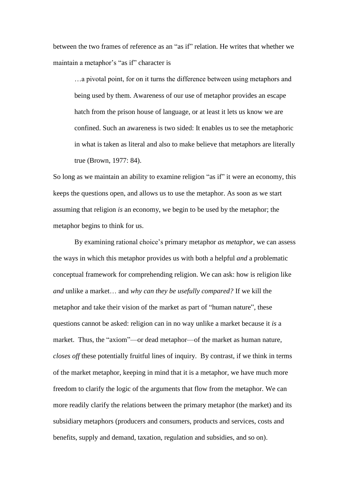between the two frames of reference as an "as if" relation. He writes that whether we maintain a metaphor's "as if" character is

…a pivotal point, for on it turns the difference between using metaphors and being used by them. Awareness of our use of metaphor provides an escape hatch from the prison house of language, or at least it lets us know we are confined. Such an awareness is two sided: It enables us to see the metaphoric in what is taken as literal and also to make believe that metaphors are literally true (Brown, 1977: 84).

So long as we maintain an ability to examine religion "as if" it were an economy, this keeps the questions open, and allows us to use the metaphor. As soon as we start assuming that religion *is* an economy, we begin to be used by the metaphor; the metaphor begins to think for us.

By examining rational choice's primary metaphor *as metaphor*, we can assess the ways in which this metaphor provides us with both a helpful *and* a problematic conceptual framework for comprehending religion. We can ask: how is religion like *and* unlike a market… and *why can they be usefully compared?* If we kill the metaphor and take their vision of the market as part of "human nature", these questions cannot be asked: religion can in no way unlike a market because it *is* a market. Thus, the "axiom"—or dead metaphor—of the market as human nature, *closes off* these potentially fruitful lines of inquiry. By contrast, if we think in terms of the market metaphor, keeping in mind that it is a metaphor*,* we have much more freedom to clarify the logic of the arguments that flow from the metaphor. We can more readily clarify the relations between the primary metaphor (the market) and its subsidiary metaphors (producers and consumers, products and services, costs and benefits, supply and demand, taxation, regulation and subsidies, and so on).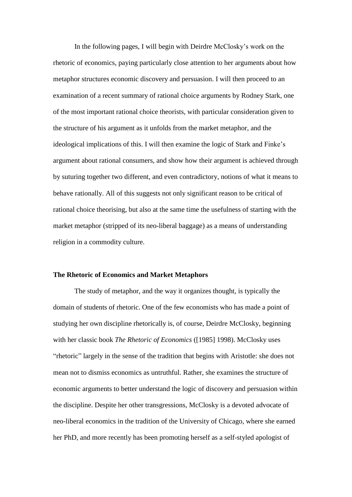In the following pages, I will begin with Deirdre McClosky's work on the rhetoric of economics, paying particularly close attention to her arguments about how metaphor structures economic discovery and persuasion. I will then proceed to an examination of a recent summary of rational choice arguments by Rodney Stark, one of the most important rational choice theorists, with particular consideration given to the structure of his argument as it unfolds from the market metaphor, and the ideological implications of this. I will then examine the logic of Stark and Finke's argument about rational consumers, and show how their argument is achieved through by suturing together two different, and even contradictory, notions of what it means to behave rationally. All of this suggests not only significant reason to be critical of rational choice theorising, but also at the same time the usefulness of starting with the market metaphor (stripped of its neo-liberal baggage) as a means of understanding religion in a commodity culture.

#### **The Rhetoric of Economics and Market Metaphors**

The study of metaphor, and the way it organizes thought, is typically the domain of students of rhetoric. One of the few economists who has made a point of studying her own discipline rhetorically is, of course, Deirdre McClosky, beginning with her classic book *The Rhetoric of Economics* ([1985] 1998). McClosky uses "rhetoric" largely in the sense of the tradition that begins with Aristotle: she does not mean not to dismiss economics as untruthful. Rather, she examines the structure of economic arguments to better understand the logic of discovery and persuasion within the discipline. Despite her other transgressions, McClosky is a devoted advocate of neo-liberal economics in the tradition of the University of Chicago, where she earned her PhD, and more recently has been promoting herself as a self-styled apologist of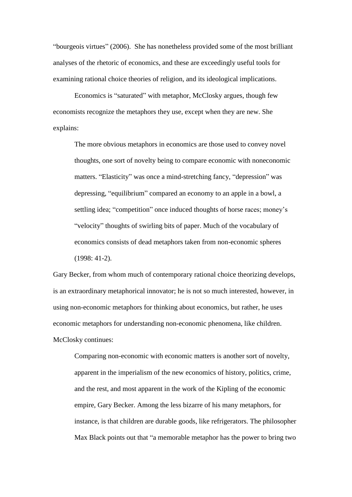"bourgeois virtues" (2006). She has nonetheless provided some of the most brilliant analyses of the rhetoric of economics, and these are exceedingly useful tools for examining rational choice theories of religion, and its ideological implications.

Economics is "saturated" with metaphor, McClosky argues, though few economists recognize the metaphors they use, except when they are new. She explains:

The more obvious metaphors in economics are those used to convey novel thoughts, one sort of novelty being to compare economic with noneconomic matters. "Elasticity" was once a mind-stretching fancy, "depression" was depressing, "equilibrium" compared an economy to an apple in a bowl, a settling idea; "competition" once induced thoughts of horse races; money's "velocity" thoughts of swirling bits of paper. Much of the vocabulary of economics consists of dead metaphors taken from non-economic spheres (1998: 41-2).

Gary Becker, from whom much of contemporary rational choice theorizing develops, is an extraordinary metaphorical innovator; he is not so much interested, however, in using non-economic metaphors for thinking about economics, but rather, he uses economic metaphors for understanding non-economic phenomena, like children. McClosky continues:

Comparing non-economic with economic matters is another sort of novelty, apparent in the imperialism of the new economics of history, politics, crime, and the rest, and most apparent in the work of the Kipling of the economic empire, Gary Becker. Among the less bizarre of his many metaphors, for instance, is that children are durable goods, like refrigerators. The philosopher Max Black points out that "a memorable metaphor has the power to bring two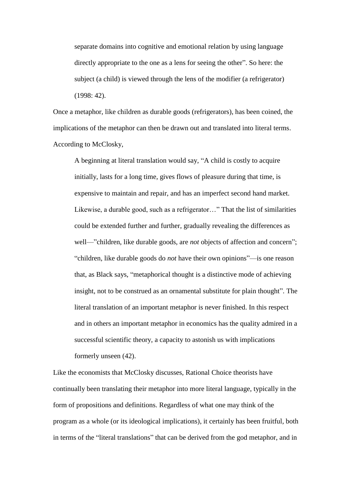separate domains into cognitive and emotional relation by using language directly appropriate to the one as a lens for seeing the other". So here: the subject (a child) is viewed through the lens of the modifier (a refrigerator) (1998: 42).

Once a metaphor, like children as durable goods (refrigerators), has been coined, the implications of the metaphor can then be drawn out and translated into literal terms. According to McClosky,

A beginning at literal translation would say, "A child is costly to acquire initially, lasts for a long time, gives flows of pleasure during that time, is expensive to maintain and repair, and has an imperfect second hand market. Likewise, a durable good, such as a refrigerator…" That the list of similarities could be extended further and further, gradually revealing the differences as well—"children, like durable goods, are *not* objects of affection and concern"; "children, like durable goods do *not* have their own opinions"—is one reason that, as Black says, "metaphorical thought is a distinctive mode of achieving insight, not to be construed as an ornamental substitute for plain thought". The literal translation of an important metaphor is never finished. In this respect and in others an important metaphor in economics has the quality admired in a successful scientific theory, a capacity to astonish us with implications formerly unseen (42).

Like the economists that McClosky discusses, Rational Choice theorists have continually been translating their metaphor into more literal language, typically in the form of propositions and definitions. Regardless of what one may think of the program as a whole (or its ideological implications), it certainly has been fruitful, both in terms of the "literal translations" that can be derived from the god metaphor, and in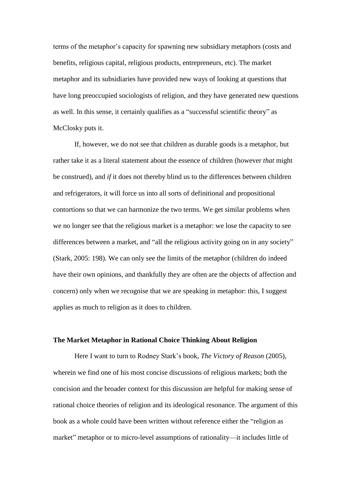terms of the metaphor's capacity for spawning new subsidiary metaphors (costs and benefits, religious capital, religious products, entrepreneurs, etc). The market metaphor and its subsidiaries have provided new ways of looking at questions that have long preoccupied sociologists of religion, and they have generated new questions as well. In this sense, it certainly qualifies as a "successful scientific theory" as McClosky puts it.

If, however, we do not see that children as durable goods is a metaphor, but rather take it as a literal statement about the essence of children (however *that* might be construed), and *if* it does not thereby blind us to the differences between children and refrigerators, it will force us into all sorts of definitional and propositional contortions so that we can harmonize the two terms. We get similar problems when we no longer see that the religious market is a metaphor: we lose the capacity to see differences between a market, and "all the religious activity going on in any society" (Stark, 2005: 198). We can only see the limits of the metaphor (children do indeed have their own opinions, and thankfully they are often are the objects of affection and concern) only when we recognise that we are speaking in metaphor: this, I suggest applies as much to religion as it does to children.

## **The Market Metaphor in Rational Choice Thinking About Religion**

Here I want to turn to Rodney Stark's book, *The Victory of Reason* (2005), wherein we find one of his most concise discussions of religious markets; both the concision and the broader context for this discussion are helpful for making sense of rational choice theories of religion and its ideological resonance. The argument of this book as a whole could have been written without reference either the "religion as market" metaphor or to micro-level assumptions of rationality—it includes little of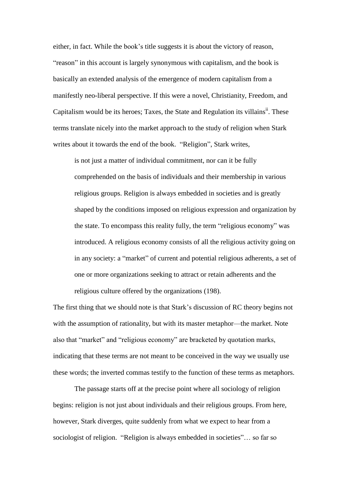either, in fact. While the book's title suggests it is about the victory of reason, "reason" in this account is largely synonymous with capitalism, and the book is basically an extended analysis of the emergence of modern capitalism from a manifestly neo-liberal perspective. If this were a novel, Christianity, Freedom, and Capitalism would be its heroes; Taxes, the State and Regulation its villains<sup>ii</sup>. These terms translate nicely into the market approach to the study of religion when Stark writes about it towards the end of the book. "Religion", Stark writes,

is not just a matter of individual commitment, nor can it be fully comprehended on the basis of individuals and their membership in various religious groups. Religion is always embedded in societies and is greatly shaped by the conditions imposed on religious expression and organization by the state. To encompass this reality fully, the term "religious economy" was introduced. A religious economy consists of all the religious activity going on in any society: a "market" of current and potential religious adherents, a set of one or more organizations seeking to attract or retain adherents and the religious culture offered by the organizations (198).

The first thing that we should note is that Stark's discussion of RC theory begins not with the assumption of rationality, but with its master metaphor—the market. Note also that "market" and "religious economy" are bracketed by quotation marks, indicating that these terms are not meant to be conceived in the way we usually use these words; the inverted commas testify to the function of these terms as metaphors.

The passage starts off at the precise point where all sociology of religion begins: religion is not just about individuals and their religious groups. From here, however, Stark diverges, quite suddenly from what we expect to hear from a sociologist of religion. "Religion is always embedded in societies"… so far so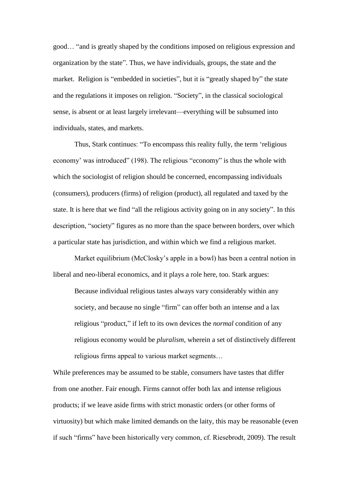good… "and is greatly shaped by the conditions imposed on religious expression and organization by the state". Thus, we have individuals, groups, the state and the market. Religion is "embedded in societies", but it is "greatly shaped by" the state and the regulations it imposes on religion. "Society", in the classical sociological sense, is absent or at least largely irrelevant—everything will be subsumed into individuals, states, and markets.

Thus, Stark continues: "To encompass this reality fully, the term 'religious economy' was introduced" (198). The religious "economy" is thus the whole with which the sociologist of religion should be concerned, encompassing individuals (consumers), producers (firms) of religion (product), all regulated and taxed by the state. It is here that we find "all the religious activity going on in any society". In this description, "society" figures as no more than the space between borders, over which a particular state has jurisdiction, and within which we find a religious market.

Market equilibrium (McClosky's apple in a bowl) has been a central notion in liberal and neo-liberal economics, and it plays a role here, too. Stark argues:

Because individual religious tastes always vary considerably within any society, and because no single "firm" can offer both an intense and a lax religious "product," if left to its own devices the *normal* condition of any religious economy would be *pluralism*, wherein a set of distinctively different religious firms appeal to various market segments…

While preferences may be assumed to be stable, consumers have tastes that differ from one another. Fair enough. Firms cannot offer both lax and intense religious products; if we leave aside firms with strict monastic orders (or other forms of virtuosity) but which make limited demands on the laity, this may be reasonable (even if such "firms" have been historically very common, cf. Riesebrodt, 2009). The result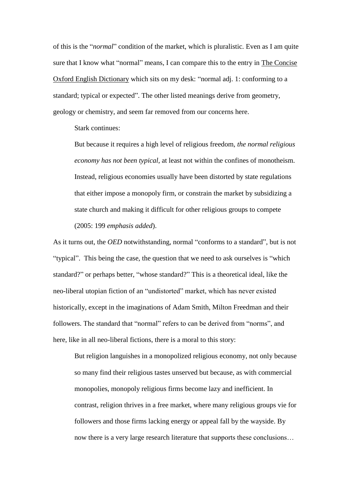of this is the "*normal*" condition of the market, which is pluralistic. Even as I am quite sure that I know what "normal" means, I can compare this to the entry in The Concise Oxford English Dictionary which sits on my desk: "normal adj. 1: conforming to a standard; typical or expected". The other listed meanings derive from geometry, geology or chemistry, and seem far removed from our concerns here.

Stark continues:

But because it requires a high level of religious freedom, *the normal religious economy has not been typical*, at least not within the confines of monotheism. Instead, religious economies usually have been distorted by state regulations that either impose a monopoly firm, or constrain the market by subsidizing a state church and making it difficult for other religious groups to compete (2005: 199 *emphasis added*).

As it turns out, the *OED* notwithstanding, normal "conforms to a standard", but is not "typical". This being the case, the question that we need to ask ourselves is "which standard?" or perhaps better, "whose standard?" This is a theoretical ideal, like the neo-liberal utopian fiction of an "undistorted" market, which has never existed historically, except in the imaginations of Adam Smith, Milton Freedman and their followers. The standard that "normal" refers to can be derived from "norms", and here, like in all neo-liberal fictions, there is a moral to this story:

But religion languishes in a monopolized religious economy, not only because so many find their religious tastes unserved but because, as with commercial monopolies, monopoly religious firms become lazy and inefficient. In contrast, religion thrives in a free market, where many religious groups vie for followers and those firms lacking energy or appeal fall by the wayside. By now there is a very large research literature that supports these conclusions…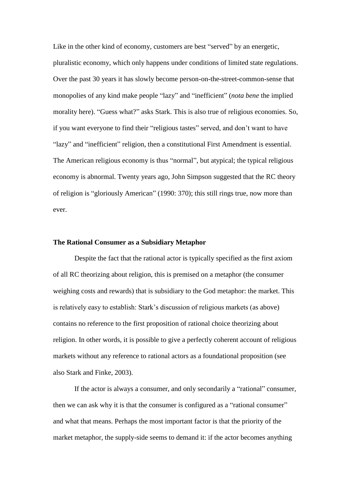Like in the other kind of economy, customers are best "served" by an energetic, pluralistic economy, which only happens under conditions of limited state regulations. Over the past 30 years it has slowly become person-on-the-street-common-sense that monopolies of any kind make people "lazy" and "inefficient" (*nota bene* the implied morality here). "Guess what?" asks Stark. This is also true of religious economies. So, if you want everyone to find their "religious tastes" served, and don't want to have "lazy" and "inefficient" religion, then a constitutional First Amendment is essential. The American religious economy is thus "normal", but atypical; the typical religious economy is abnormal. Twenty years ago, John Simpson suggested that the RC theory of religion is "gloriously American" (1990: 370); this still rings true, now more than ever.

## **The Rational Consumer as a Subsidiary Metaphor**

Despite the fact that the rational actor is typically specified as the first axiom of all RC theorizing about religion, this is premised on a metaphor (the consumer weighing costs and rewards) that is subsidiary to the God metaphor: the market. This is relatively easy to establish: Stark's discussion of religious markets (as above) contains no reference to the first proposition of rational choice theorizing about religion. In other words, it is possible to give a perfectly coherent account of religious markets without any reference to rational actors as a foundational proposition (see also Stark and Finke, 2003).

If the actor is always a consumer, and only secondarily a "rational" consumer, then we can ask why it is that the consumer is configured as a "rational consumer" and what that means. Perhaps the most important factor is that the priority of the market metaphor, the supply-side seems to demand it: if the actor becomes anything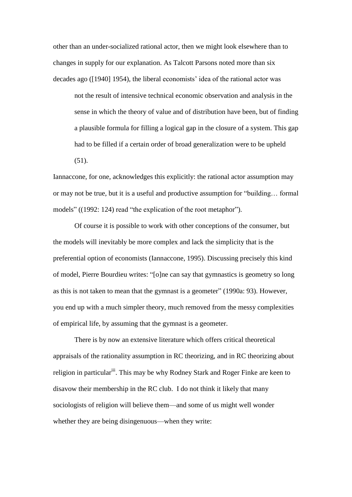other than an under-socialized rational actor, then we might look elsewhere than to changes in supply for our explanation. As Talcott Parsons noted more than six decades ago ([1940] 1954), the liberal economists' idea of the rational actor was

not the result of intensive technical economic observation and analysis in the sense in which the theory of value and of distribution have been, but of finding a plausible formula for filling a logical gap in the closure of a system. This gap had to be filled if a certain order of broad generalization were to be upheld (51).

Iannaccone, for one, acknowledges this explicitly: the rational actor assumption may or may not be true, but it is a useful and productive assumption for "building… formal models" ((1992: 124) read "the explication of the root metaphor").

Of course it is possible to work with other conceptions of the consumer, but the models will inevitably be more complex and lack the simplicity that is the preferential option of economists (Iannaccone, 1995). Discussing precisely this kind of model, Pierre Bourdieu writes: "[o]ne can say that gymnastics is geometry so long as this is not taken to mean that the gymnast is a geometer" (1990a: 93). However, you end up with a much simpler theory, much removed from the messy complexities of empirical life, by assuming that the gymnast is a geometer.

There is by now an extensive literature which offers critical theoretical appraisals of the rationality assumption in RC theorizing, and in RC theorizing about religion in particular<sup>iii</sup>. This may be why Rodney Stark and Roger Finke are keen to disavow their membership in the RC club. I do not think it likely that many sociologists of religion will believe them—and some of us might well wonder whether they are being disingenuous—when they write: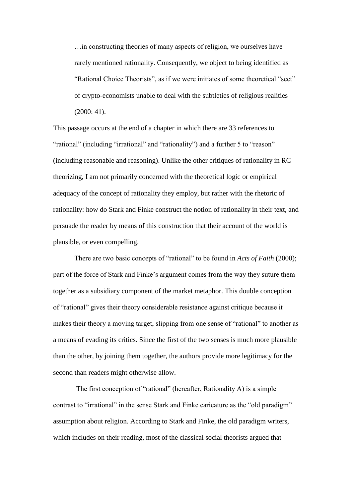…in constructing theories of many aspects of religion, we ourselves have rarely mentioned rationality. Consequently, we object to being identified as "Rational Choice Theorists", as if we were initiates of some theoretical "sect" of crypto-economists unable to deal with the subtleties of religious realities (2000: 41).

This passage occurs at the end of a chapter in which there are 33 references to "rational" (including "irrational" and "rationality") and a further 5 to "reason" (including reasonable and reasoning). Unlike the other critiques of rationality in RC theorizing, I am not primarily concerned with the theoretical logic or empirical adequacy of the concept of rationality they employ, but rather with the rhetoric of rationality: how do Stark and Finke construct the notion of rationality in their text, and persuade the reader by means of this construction that their account of the world is plausible, or even compelling.

There are two basic concepts of "rational" to be found in *Acts of Faith* (2000); part of the force of Stark and Finke's argument comes from the way they suture them together as a subsidiary component of the market metaphor. This double conception of "rational" gives their theory considerable resistance against critique because it makes their theory a moving target, slipping from one sense of "rational" to another as a means of evading its critics. Since the first of the two senses is much more plausible than the other, by joining them together, the authors provide more legitimacy for the second than readers might otherwise allow.

The first conception of "rational" (hereafter, Rationality A) is a simple contrast to "irrational" in the sense Stark and Finke caricature as the "old paradigm" assumption about religion. According to Stark and Finke, the old paradigm writers, which includes on their reading, most of the classical social theorists argued that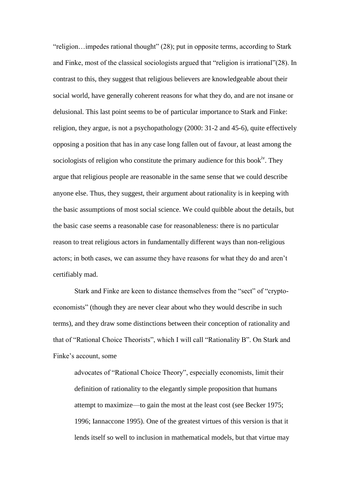"religion…impedes rational thought" (28); put in opposite terms, according to Stark and Finke, most of the classical sociologists argued that "religion is irrational"(28). In contrast to this, they suggest that religious believers are knowledgeable about their social world, have generally coherent reasons for what they do, and are not insane or delusional. This last point seems to be of particular importance to Stark and Finke: religion, they argue, is not a psychopathology (2000: 31-2 and 45-6), quite effectively opposing a position that has in any case long fallen out of favour, at least among the sociologists of religion who constitute the primary audience for this book<sup>iv</sup>. They argue that religious people are reasonable in the same sense that we could describe anyone else. Thus, they suggest, their argument about rationality is in keeping with the basic assumptions of most social science. We could quibble about the details, but the basic case seems a reasonable case for reasonableness: there is no particular reason to treat religious actors in fundamentally different ways than non-religious actors; in both cases, we can assume they have reasons for what they do and aren't certifiably mad.

Stark and Finke are keen to distance themselves from the "sect" of "cryptoeconomists" (though they are never clear about who they would describe in such terms), and they draw some distinctions between their conception of rationality and that of "Rational Choice Theorists", which I will call "Rationality B". On Stark and Finke's account, some

advocates of "Rational Choice Theory", especially economists, limit their definition of rationality to the elegantly simple proposition that humans attempt to maximize—to gain the most at the least cost (see Becker 1975; 1996; Iannaccone 1995). One of the greatest virtues of this version is that it lends itself so well to inclusion in mathematical models, but that virtue may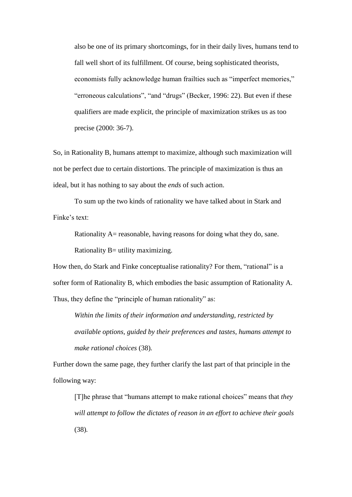also be one of its primary shortcomings, for in their daily lives, humans tend to fall well short of its fulfillment. Of course, being sophisticated theorists, economists fully acknowledge human frailties such as "imperfect memories," "erroneous calculations", "and "drugs" (Becker, 1996: 22). But even if these qualifiers are made explicit, the principle of maximization strikes us as too precise (2000: 36-7).

So, in Rationality B, humans attempt to maximize, although such maximization will not be perfect due to certain distortions. The principle of maximization is thus an ideal, but it has nothing to say about the *ends* of such action.

To sum up the two kinds of rationality we have talked about in Stark and Finke's text:

Rationality A= reasonable, having reasons for doing what they do, sane.

Rationality B= utility maximizing.

How then, do Stark and Finke conceptualise rationality? For them, "rational" is a softer form of Rationality B, which embodies the basic assumption of Rationality A. Thus, they define the "principle of human rationality" as:

*Within the limits of their information and understanding, restricted by available options, guided by their preferences and tastes, humans attempt to make rational choices* (38)*.*

Further down the same page, they further clarify the last part of that principle in the following way:

[T]he phrase that "humans attempt to make rational choices" means that *they will attempt to follow the dictates of reason in an effort to achieve their goals* (38)*.*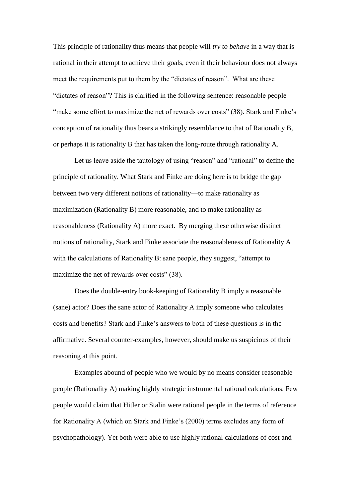This principle of rationality thus means that people will *try to behave* in a way that is rational in their attempt to achieve their goals, even if their behaviour does not always meet the requirements put to them by the "dictates of reason". What are these "dictates of reason"? This is clarified in the following sentence: reasonable people "make some effort to maximize the net of rewards over costs" (38). Stark and Finke's conception of rationality thus bears a strikingly resemblance to that of Rationality B, or perhaps it is rationality B that has taken the long-route through rationality A.

Let us leave aside the tautology of using "reason" and "rational" to define the principle of rationality. What Stark and Finke are doing here is to bridge the gap between two very different notions of rationality—to make rationality as maximization (Rationality B) more reasonable, and to make rationality as reasonableness (Rationality A) more exact. By merging these otherwise distinct notions of rationality, Stark and Finke associate the reasonableness of Rationality A with the calculations of Rationality B: sane people, they suggest, "attempt to maximize the net of rewards over costs" (38).

Does the double-entry book-keeping of Rationality B imply a reasonable (sane) actor? Does the sane actor of Rationality A imply someone who calculates costs and benefits? Stark and Finke's answers to both of these questions is in the affirmative. Several counter-examples, however, should make us suspicious of their reasoning at this point.

Examples abound of people who we would by no means consider reasonable people (Rationality A) making highly strategic instrumental rational calculations. Few people would claim that Hitler or Stalin were rational people in the terms of reference for Rationality A (which on Stark and Finke's (2000) terms excludes any form of psychopathology). Yet both were able to use highly rational calculations of cost and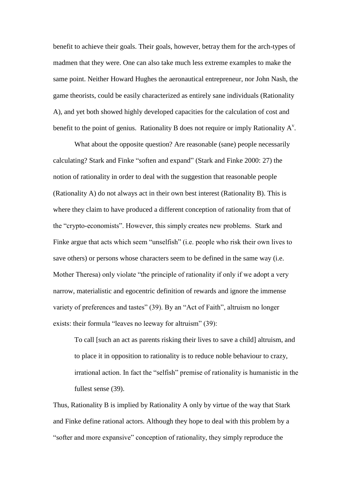benefit to achieve their goals. Their goals, however, betray them for the arch-types of madmen that they were. One can also take much less extreme examples to make the same point. Neither Howard Hughes the aeronautical entrepreneur, nor John Nash, the game theorists, could be easily characterized as entirely sane individuals (Rationality A), and yet both showed highly developed capacities for the calculation of cost and benefit to the point of genius. Rationality B does not require or imply Rationality  $A<sup>v</sup>$ .

What about the opposite question? Are reasonable (sane) people necessarily calculating? Stark and Finke "soften and expand" (Stark and Finke 2000: 27) the notion of rationality in order to deal with the suggestion that reasonable people (Rationality A) do not always act in their own best interest (Rationality B). This is where they claim to have produced a different conception of rationality from that of the "crypto-economists". However, this simply creates new problems. Stark and Finke argue that acts which seem "unselfish" (i.e. people who risk their own lives to save others) or persons whose characters seem to be defined in the same way (i.e. Mother Theresa) only violate "the principle of rationality if only if we adopt a very narrow, materialistic and egocentric definition of rewards and ignore the immense variety of preferences and tastes" (39). By an "Act of Faith", altruism no longer exists: their formula "leaves no leeway for altruism" (39):

To call [such an act as parents risking their lives to save a child] altruism, and to place it in opposition to rationality is to reduce noble behaviour to crazy, irrational action. In fact the "selfish" premise of rationality is humanistic in the fullest sense (39).

Thus, Rationality B is implied by Rationality A only by virtue of the way that Stark and Finke define rational actors. Although they hope to deal with this problem by a "softer and more expansive" conception of rationality, they simply reproduce the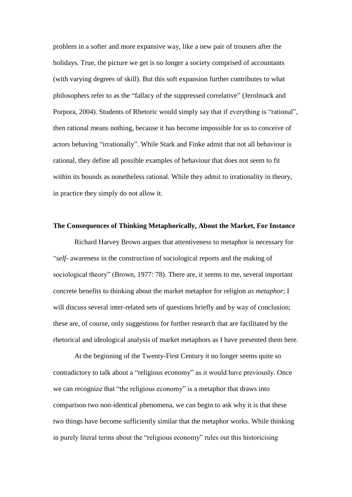problem in a softer and more expansive way, like a new pair of trousers after the holidays. True, the picture we get is no longer a society comprised of accountants (with varying degrees of skill). But this soft expansion further contributes to what philosophers refer to as the "fallacy of the suppressed correlative" (Jerolmack and Porpora, 2004). Students of Rhetoric would simply say that if everything is "rational", then rational means nothing, because it has become impossible for us to conceive of actors behaving "irrationally". While Stark and Finke admit that not all behaviour is rational, they define all possible examples of behaviour that does not seem to fit within its bounds as nonetheless rational. While they admit to irrationality in theory, in practice they simply do not allow it.

#### **The Consequences of Thinking Metaphorically, About the Market, For Instance**

Richard Harvey Brown argues that attentiveness to metaphor is necessary for "*self-* awareness in the construction of sociological reports and the making of sociological theory" (Brown, 1977: 78). There are, it seems to me, several important concrete benefits to thinking about the market metaphor for religion *as metaphor*; I will discuss several inter-related sets of questions briefly and by way of conclusion; these are, of course, only suggestions for further research that are facilitated by the rhetorical and ideological analysis of market metaphors as I have presented them here.

At the beginning of the Twenty-First Century it no longer seems quite so contradictory to talk about a "religious economy" as it would have previously. Once we can recognize that "the religious economy" is a metaphor that draws into comparison two non-identical phenomena, we can begin to ask why it is that these two things have become sufficiently similar that the metaphor works. While thinking in purely literal terms about the "religious economy" rules out this historicising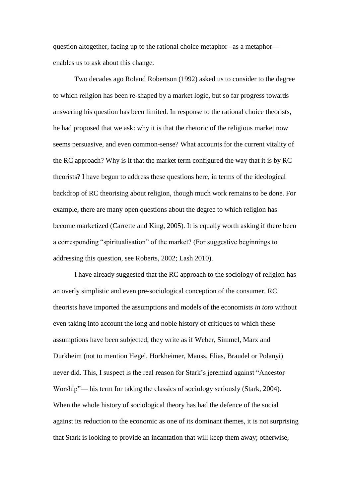question altogether, facing up to the rational choice metaphor—as a metaphor enables us to ask about this change.

Two decades ago Roland Robertson (1992) asked us to consider to the degree to which religion has been re-shaped by a market logic, but so far progress towards answering his question has been limited. In response to the rational choice theorists, he had proposed that we ask: why it is that the rhetoric of the religious market now seems persuasive, and even common-sense? What accounts for the current vitality of the RC approach? Why is it that the market term configured the way that it is by RC theorists? I have begun to address these questions here, in terms of the ideological backdrop of RC theorising about religion, though much work remains to be done. For example, there are many open questions about the degree to which religion has become marketized (Carrette and King, 2005). It is equally worth asking if there been a corresponding "spiritualisation" of the market? (For suggestive beginnings to addressing this question, see Roberts, 2002; Lash 2010).

I have already suggested that the RC approach to the sociology of religion has an overly simplistic and even pre-sociological conception of the consumer. RC theorists have imported the assumptions and models of the economists *in toto* without even taking into account the long and noble history of critiques to which these assumptions have been subjected; they write as if Weber, Simmel, Marx and Durkheim (not to mention Hegel, Horkheimer, Mauss, Elias, Braudel or Polanyi) never did. This, I suspect is the real reason for Stark's jeremiad against "Ancestor Worship"— his term for taking the classics of sociology seriously (Stark, 2004). When the whole history of sociological theory has had the defence of the social against its reduction to the economic as one of its dominant themes, it is not surprising that Stark is looking to provide an incantation that will keep them away; otherwise,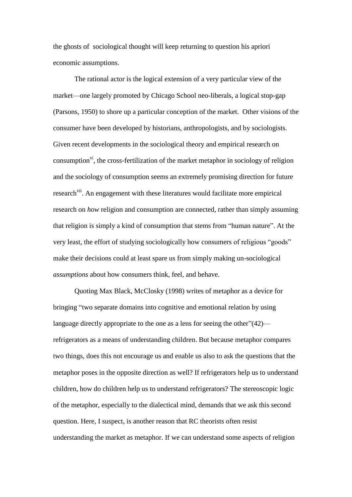the ghosts of sociological thought will keep returning to question his apriori economic assumptions.

The rational actor is the logical extension of a very particular view of the market—one largely promoted by Chicago School neo-liberals, a logical stop-gap (Parsons, 1950) to shore up a particular conception of the market. Other visions of the consumer have been developed by historians, anthropologists, and by sociologists. Given recent developments in the sociological theory and empirical research on consumption $v<sup>i</sup>$ , the cross-fertilization of the market metaphor in sociology of religion and the sociology of consumption seems an extremely promising direction for future research<sup>vii</sup>. An engagement with these literatures would facilitate more empirical research on *how* religion and consumption are connected, rather than simply assuming that religion is simply a kind of consumption that stems from "human nature". At the very least, the effort of studying sociologically how consumers of religious "goods" make their decisions could at least spare us from simply making un-sociological *assumptions* about how consumers think, feel, and behave.

Quoting Max Black, McClosky (1998) writes of metaphor as a device for bringing "two separate domains into cognitive and emotional relation by using language directly appropriate to the one as a lens for seeing the other"(42) refrigerators as a means of understanding children. But because metaphor compares two things, does this not encourage us and enable us also to ask the questions that the metaphor poses in the opposite direction as well? If refrigerators help us to understand children, how do children help us to understand refrigerators? The stereoscopic logic of the metaphor, especially to the dialectical mind, demands that we ask this second question. Here, I suspect, is another reason that RC theorists often resist understanding the market as metaphor. If we can understand some aspects of religion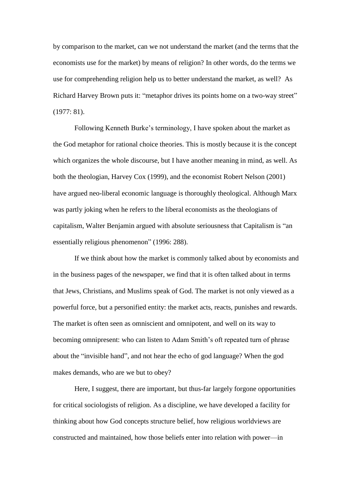by comparison to the market, can we not understand the market (and the terms that the economists use for the market) by means of religion? In other words, do the terms we use for comprehending religion help us to better understand the market, as well? As Richard Harvey Brown puts it: "metaphor drives its points home on a two-way street" (1977: 81).

Following Kenneth Burke's terminology, I have spoken about the market as the God metaphor for rational choice theories. This is mostly because it is the concept which organizes the whole discourse, but I have another meaning in mind, as well. As both the theologian, Harvey Cox (1999), and the economist Robert Nelson (2001) have argued neo-liberal economic language is thoroughly theological. Although Marx was partly joking when he refers to the liberal economists as the theologians of capitalism, Walter Benjamin argued with absolute seriousness that Capitalism is "an essentially religious phenomenon" (1996: 288).

If we think about how the market is commonly talked about by economists and in the business pages of the newspaper, we find that it is often talked about in terms that Jews, Christians, and Muslims speak of God. The market is not only viewed as a powerful force, but a personified entity: the market acts, reacts, punishes and rewards. The market is often seen as omniscient and omnipotent, and well on its way to becoming omnipresent: who can listen to Adam Smith's oft repeated turn of phrase about the "invisible hand", and not hear the echo of god language? When the god makes demands, who are we but to obey?

Here, I suggest, there are important, but thus-far largely forgone opportunities for critical sociologists of religion. As a discipline, we have developed a facility for thinking about how God concepts structure belief, how religious worldviews are constructed and maintained, how those beliefs enter into relation with power—in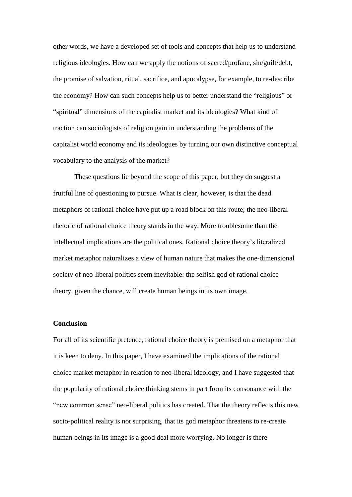other words, we have a developed set of tools and concepts that help us to understand religious ideologies. How can we apply the notions of sacred/profane, sin/guilt/debt, the promise of salvation, ritual, sacrifice, and apocalypse, for example, to re-describe the economy? How can such concepts help us to better understand the "religious" or "spiritual" dimensions of the capitalist market and its ideologies? What kind of traction can sociologists of religion gain in understanding the problems of the capitalist world economy and its ideologues by turning our own distinctive conceptual vocabulary to the analysis of the market?

These questions lie beyond the scope of this paper, but they do suggest a fruitful line of questioning to pursue. What is clear, however, is that the dead metaphors of rational choice have put up a road block on this route; the neo-liberal rhetoric of rational choice theory stands in the way. More troublesome than the intellectual implications are the political ones. Rational choice theory's literalized market metaphor naturalizes a view of human nature that makes the one-dimensional society of neo-liberal politics seem inevitable: the selfish god of rational choice theory, given the chance, will create human beings in its own image.

### **Conclusion**

For all of its scientific pretence, rational choice theory is premised on a metaphor that it is keen to deny. In this paper, I have examined the implications of the rational choice market metaphor in relation to neo-liberal ideology, and I have suggested that the popularity of rational choice thinking stems in part from its consonance with the "new common sense" neo-liberal politics has created. That the theory reflects this new socio-political reality is not surprising, that its god metaphor threatens to re-create human beings in its image is a good deal more worrying. No longer is there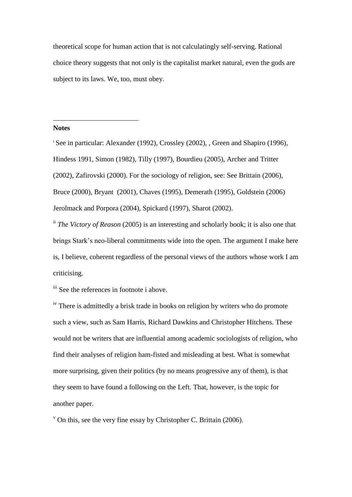theoretical scope for human action that is not calculatingly self-serving. Rational choice theory suggests that not only is the capitalist market natural, even the gods are subject to its laws. We, too, must obey.

## **Notes**

 $\overline{a}$ 

<sup>i</sup> See in particular: Alexander (1992), Crossley (2002), , Green and Shapiro (1996), Hindess 1991, Simon (1982), Tilly (1997), Bourdieu (2005), Archer and Tritter (2002), Zafirovski (2000). For the sociology of religion, see: See Brittain (2006), Bruce (2000), Bryant (2001), Chaves (1995), Demerath (1995), Goldstein (2006) Jerolmack and Porpora (2004), Spickard (1997), Sharot (2002).

ii *The Victory of Reason* (2005) is an interesting and scholarly book; it is also one that brings Stark's neo-liberal commitments wide into the open. The argument I make here is, I believe, coherent regardless of the personal views of the authors whose work I am criticising.

iii See the references in footnote i above.

iv There is admittedly a brisk trade in books on religion by writers who do promote such a view, such as Sam Harris, Richard Dawkins and Christopher Hitchens. These would not be writers that are influential among academic sociologists of religion, who find their analyses of religion ham-fisted and misleading at best. What is somewhat more surprising, given their politics (by no means progressive any of them), is that they seem to have found a following on the Left. That, however, is the topic for another paper.

 $\degree$  On this, see the very fine essay by Christopher C. Brittain (2006).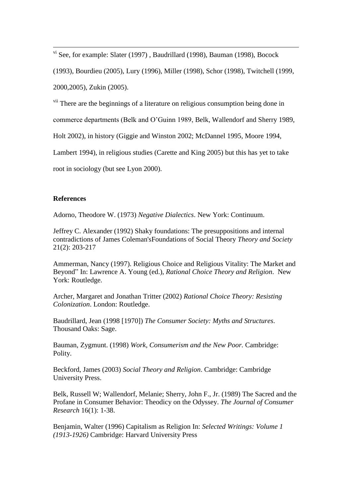$\overline{a}$ <sup>vi</sup> See, for example: Slater (1997), Baudrillard (1998), Bauman (1998), Bocock

(1993), Bourdieu (2005), Lury (1996), Miller (1998), Schor (1998), Twitchell (1999, 2000,2005), Zukin (2005).

<sup>vii</sup> There are the beginnings of a literature on religious consumption being done in

commerce departments (Belk and O'Guinn 1989, Belk, Wallendorf and Sherry 1989,

Holt 2002), in history (Giggie and Winston 2002; McDannel 1995, Moore 1994,

Lambert 1994), in religious studies (Carette and King 2005) but this has yet to take

root in sociology (but see Lyon 2000).

# **References**

Adorno, Theodore W. (1973) *Negative Dialectics*. New York: Continuum.

Jeffrey C. Alexander (1992) Shaky foundations: The presuppositions and internal contradictions of James Coleman'sFoundations of Social Theory *Theory and Society*  21(2): 203-217

Ammerman, Nancy (1997). Religious Choice and Religious Vitality: The Market and Beyond" In: Lawrence A. Young (ed.), *Rational Choice Theory and Religion*. New York: Routledge.

Archer, Margaret and Jonathan Tritter (2002) *Rational Choice Theory: Resisting Colonization*. London: Routledge.

Baudrillard, Jean (1998 [1970]) *The Consumer Society: Myths and Structures*. Thousand Oaks: Sage.

Bauman, Zygmunt. (1998) *Work, Consumerism and the New Poor.* Cambridge: Polity.

Beckford, James (2003) *Social Theory and Religion*. Cambridge: Cambridge University Press.

Belk, Russell W; Wallendorf, Melanie; Sherry, John F., Jr. (1989) The Sacred and the Profane in Consumer Behavior: Theodicy on the Odyssey. *The Journal of Consumer Research* 16(1): 1-38.

Benjamin, Walter (1996) Capitalism as Religion In: *Selected Writings: Volume 1 (1913-1926)* Cambridge: Harvard University Press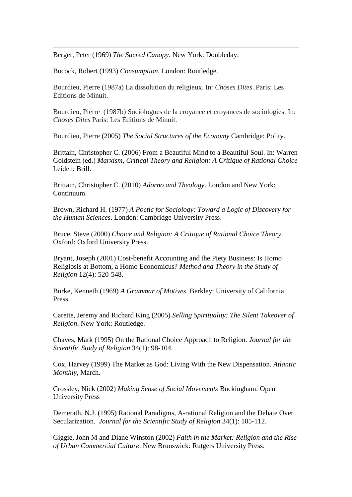Berger, Peter (1969) *The Sacred Canopy*. New York: Doubleday.

Bocock, Robert (1993) *Consumption.* London: Routledge.

 $\overline{a}$ 

Bourdieu, Pierre (1987a) La dissolution du religieux. In: *Choses Dites*. Paris: Les Éditions de Minuit.

Bourdieu, Pierre (1987b) Sociologues de la croyance et croyances de sociologies. In: *Choses Dites* Paris: Les Éditions de Minuit.

Bourdieu, Pierre (2005) *The Social Structures of the Economy* Cambridge: Polity.

Brittain, Christopher C. (2006) From a Beautiful Mind to a Beautiful Soul. In: Warren Goldstein (ed.) *Marxism, Critical Theory and Religion: A Critique of Rational Choice* Leiden: Brill.

Brittain, Christopher C. (2010) *Adorno and Theology*. London and New York: Continuum.

Brown, Richard H. (1977) *A Poetic for Sociology: Toward a Logic of Discovery for the Human Sciences*. London: Cambridge University Press.

Bruce, Steve (2000) *Choice and Religion: A Critique of Rational Choice Theory*. Oxford: Oxford University Press.

Bryant, Joseph (2001) Cost-benefit Accounting and the Piety Business: Is Homo Religiosis at Bottom, a Homo Economicus? *Method and Theory in the Study of Religion* 12(4): 520-548.

Burke, Kenneth (1969) *A Grammar of Motives*. Berkley: University of California Press.

Carette, Jeremy and Richard King (2005) *Selling Spirituality: The Silent Takeover of Religion*. New York: Routledge.

Chaves, Mark (1995) On the Rational Choice Approach to Religion. *Journal for the Scientific Study of Religion* 34(1): 98-104.

Cox, Harvey (1999) The Market as God: Living With the New Dispensation. *Atlantic Monthly,* March.

Crossley, Nick (2002) *Making Sense of Social Movements* Buckingham: Open University Press

Demerath, N.J. (1995) Rational Paradigms, A-rational Religion and the Debate Over Secularization. *Journal for the Scientific Study of Religion* 34(1): 105-112.

Giggie, John M and Diane Winston (2002) *Faith in the Market: Religion and the Rise of Urban Commercial Culture*. New Brunswick: Rutgers University Press.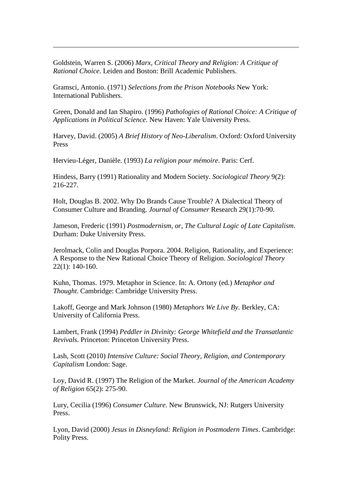Goldstein, Warren S. (2006) *Marx, Critical Theory and Religion: A Critique of Rational Choice*. Leiden and Boston: Brill Academic Publishers.

 $\overline{a}$ 

Gramsci, Antonio. (1971) *Selections from the Prison Notebooks* New York: International Publishers.

Green, Donald and Ian Shapiro. (1996) *Pathologies of Rational Choice: A Critique of Applications in Political Science*. New Haven: Yale University Press.

Harvey, David. (2005) *A Brief History of Neo-Liberalism*. Oxford: Oxford University Press

Hervieu-Léger, Danièle. (1993) *La religion pour mémoire*. Paris: Cerf.

Hindess, Barry (1991) Rationality and Modern Society. *Sociological Theory* 9(2): 216-227.

Holt, Douglas B. 2002. Why Do Brands Cause Trouble? A Dialectical Theory of Consumer Culture and Branding. *Journal of Consumer* Research 29(1):70-90.

Jameson, Frederic (1991) *Postmodernism, or, The Cultural Logic of Late Capitalism*. Durham: Duke University Press.

Jerolmack, Colin and Douglas Porpora. 2004. Religion, Rationality, and Experience: A Response to the New Rational Choice Theory of Religion. *Sociological Theory* 22(1): 140-160.

Kuhn, Thomas. 1979. Metaphor in Science. In: A. Ortony (ed.) *Metaphor and Thought*. Cambridge: Cambridge University Press.

Lakoff, George and Mark Johnson (1980) *Metaphors We Live By*. Berkley, CA: University of California Press.

Lambert, Frank (1994) *Peddler in Divinity: George Whitefield and the Transatlantic Revivals*. Princeton: Princeton University Press.

Lash, Scott (2010) *Intensive Culture: Social Theory, Religion, and Contemporary Capitalism* London: Sage.

Loy, David R. (1997) The Religion of the Market. *Journal of the American Academy of Religion* 65(2): 275-90.

Lury, Cecilia (1996) *Consumer Culture*. New Brunswick, NJ: Rutgers University Press.

Lyon, David (2000) *Jesus in Disneyland: Religion in Postmodern Times*. Cambridge: Polity Press.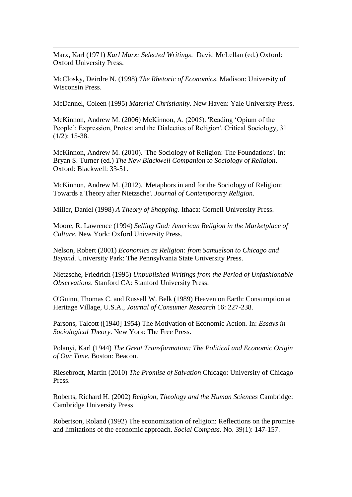Marx, Karl (1971) *Karl Marx: Selected Writings*. David McLellan (ed.) Oxford: Oxford University Press.

 $\overline{a}$ 

McClosky, Deirdre N. (1998) *The Rhetoric of Economics*. Madison: University of Wisconsin Press.

McDannel, Coleen (1995) *Material Christianity*. New Haven: Yale University Press.

McKinnon, Andrew M. (2006) McKinnon, A. (2005). 'Reading 'Opium of the People': Expression, Protest and the Dialectics of Religion'. Critical Sociology, 31 (1/2): 15-38.

McKinnon, Andrew M. (2010). 'The Sociology of Religion: The Foundations'. In: Bryan S. Turner (ed.) *The New Blackwell Companion to Sociology of Religion*. Oxford: Blackwell: 33-51.

McKinnon, Andrew M. (2012). 'Metaphors in and for the Sociology of Religion: Towards a Theory after Nietzsche'. *Journal of Contemporary Religion*.

Miller, Daniel (1998) *A Theory of Shopping*. Ithaca: Cornell University Press.

Moore, R. Lawrence (1994) *Selling God: American Religion in the Marketplace of Culture*. New York: Oxford University Press.

Nelson, Robert (2001) *Economics as Religion: from Samuelson to Chicago and Beyond*. University Park: The Pennsylvania State University Press.

Nietzsche, Friedrich (1995) *Unpublished Writings from the Period of Unfashionable Observations*. Stanford CA: Stanford University Press.

O'Guinn, Thomas C. and Russell W. Belk (1989) Heaven on Earth: Consumption at Heritage Village, U.S.A., *Journal of Consumer Research* 16: 227-238.

Parsons, Talcott ([1940] 1954) The Motivation of Economic Action*.* In: *Essays in Sociological Theory*. New York: The Free Press.

Polanyi, Karl (1944) *The Great Transformation: The Political and Economic Origin of Our Time.* Boston: Beacon.

Riesebrodt, Martin (2010) *The Promise of Salvation* Chicago: University of Chicago Press.

Roberts, Richard H. (2002) *Religion, Theology and the Human Sciences* Cambridge: Cambridge University Press

Robertson, Roland (1992) The economization of religion: Reflections on the promise and limitations of the economic approach. *Social Compass.* No. 39(1): 147-157.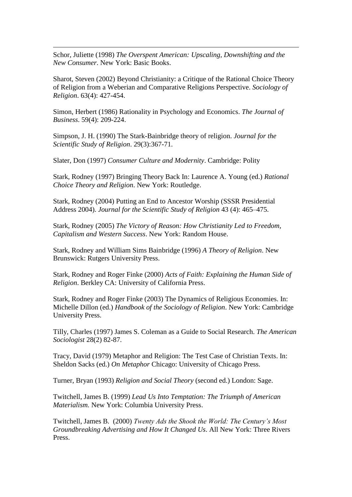Schor, Juliette (1998) *The Overspent American: Upscaling, Downshifting and the New Consumer*. New York: Basic Books.

 $\overline{a}$ 

Sharot, Steven (2002) Beyond Christianity: a Critique of the Rational Choice Theory of Religion from a Weberian and Comparative Religions Perspective. *Sociology of Religion*. 63(4): 427-454.

Simon, Herbert (1986) Rationality in Psychology and Economics. *The Journal of Business*. 59(4): 209-224.

Simpson, J. H. (1990) The Stark-Bainbridge theory of religion. *Journal for the Scientific Study of Religion*. 29(3):367-71.

Slater, Don (1997) *Consumer Culture and Modernity*. Cambridge: Polity

Stark, Rodney (1997) Bringing Theory Back In: Laurence A. Young (ed.) *Rational Choice Theory and Religion*. New York: Routledge.

Stark, Rodney (2004) Putting an End to Ancestor Worship (SSSR Presidential Address 2004). *Journal for the Scientific Study of Religion* 43 (4): 465–475.

Stark, Rodney (2005) *The Victory of Reason: How Christianity Led to Freedom, Capitalism and Western Success*. New York: Random House.

Stark, Rodney and William Sims Bainbridge (1996) *A Theory of Religion*. New Brunswick: Rutgers University Press.

Stark, Rodney and Roger Finke (2000) *Acts of Faith: Explaining the Human Side of Religion*. Berkley CA: University of California Press.

Stark, Rodney and Roger Finke (2003) The Dynamics of Religious Economies. In: Michelle Dillon (ed.) *Handbook of the Sociology of Religion*. New York: Cambridge University Press.

Tilly, Charles (1997) James S. Coleman as a Guide to Social Research. *The American Sociologist* 28(2) 82-87.

Tracy, David (1979) Metaphor and Religion: The Test Case of Christian Texts. In: Sheldon Sacks (ed.) *On Metaphor* Chicago: University of Chicago Press.

Turner, Bryan (1993) *Religion and Social Theory* (second ed.) London: Sage.

Twitchell, James B. (1999) *Lead Us Into Temptation: The Triumph of American Materialism.* New York: Columbia University Press.

Twitchell, James B. (2000) *Twenty Ads the Shook the World: The Century's Most Groundbreaking Advertising and How It Changed Us*. All New York: Three Rivers Press.